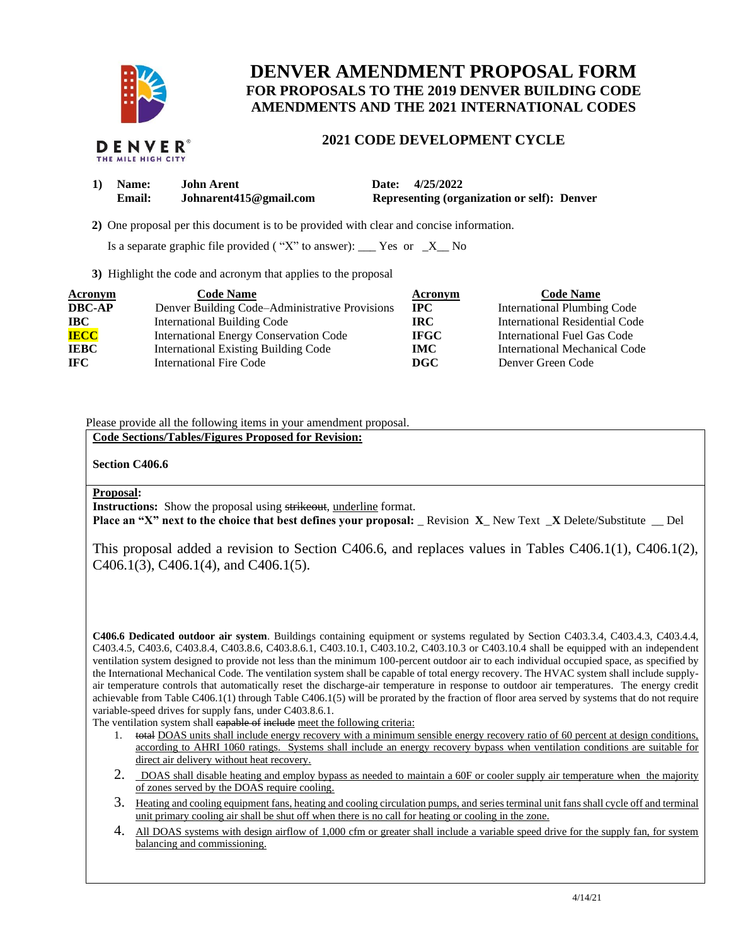

# **DENVER AMENDMENT PROPOSAL FORM FOR PROPOSALS TO THE 2019 DENVER BUILDING CODE AMENDMENTS AND THE 2021 INTERNATIONAL CODES**

## DENVER THE MILE HIGH CITY

## **2021 CODE DEVELOPMENT CYCLE**

| 1) Name:      | <b>John Arent</b>      | Date: 4/25/2022                                    |
|---------------|------------------------|----------------------------------------------------|
| <b>Email:</b> | Johnarent415@gmail.com | <b>Representing (organization or self): Denver</b> |

 **2)** One proposal per this document is to be provided with clear and concise information.

Is a separate graphic file provided ( "X" to answer): \_\_\_ Yes or  $-X$  No

**3)** Highlight the code and acronym that applies to the proposal

| <b>Acronym</b> | <b>Code Name</b>                               | <b>Acronym</b> | <b>Code Name</b>                   |
|----------------|------------------------------------------------|----------------|------------------------------------|
| <b>DBC-AP</b>  | Denver Building Code–Administrative Provisions | $\bf{IPC}$     | <b>International Plumbing Code</b> |
| <b>IBC</b>     | <b>International Building Code</b>             | IRC.           | International Residential Code     |
| <b>IECC</b>    | <b>International Energy Conservation Code</b>  | <b>IFGC</b>    | International Fuel Gas Code        |
| <b>IEBC</b>    | <b>International Existing Building Code</b>    | <b>IMC</b>     | International Mechanical Code      |
| <b>IFC</b>     | International Fire Code                        | DGC            | Denver Green Code                  |

Please provide all the following items in your amendment proposal.

**Code Sections/Tables/Figures Proposed for Revision:**

**Section C406.6**

### **Proposal:**

**Instructions:** Show the proposal using strikeout, underline format.

**Place an "X" next to the choice that best defines your proposal:** \_ Revision **X**\_ New Text \_**X** Delete/Substitute \_\_ Del

This proposal added a revision to Section C406.6, and replaces values in Tables C406.1(1), C406.1(2), C406.1(3), C406.1(4), and C406.1(5).

**C406.6 Dedicated outdoor air system**. Buildings containing equipment or systems regulated by Section C403.3.4, C403.4.3, C403.4.4, C403.4.5, C403.6, C403.8.4, C403.8.6, C403.8.6.1, C403.10.1, C403.10.2, C403.10.3 or C403.10.4 shall be equipped with an independent ventilation system designed to provide not less than the minimum 100-percent outdoor air to each individual occupied space, as specified by the International Mechanical Code. The ventilation system shall be capable of total energy recovery. The HVAC system shall include supplyair temperature controls that automatically reset the discharge-air temperature in response to outdoor air temperatures. The energy credit achievable from Table C406.1(1) through Table C406.1(5) will be prorated by the fraction of floor area served by systems that do not require variable-speed drives for supply fans, under C403.8.6.1.

The ventilation system shall capable of include meet the following criteria:

- 1. total DOAS units shall include energy recovery with a minimum sensible energy recovery ratio of 60 percent at design conditions, according to AHRI 1060 ratings. Systems shall include an energy recovery bypass when ventilation conditions are suitable for direct air delivery without heat recovery.
- 2. DOAS shall disable heating and employ bypass as needed to maintain a 60F or cooler supply air temperature when the majority of zones served by the DOAS require cooling.
- 3. Heating and cooling equipment fans, heating and cooling circulation pumps, and series terminal unit fans shall cycle off and terminal unit primary cooling air shall be shut off when there is no call for heating or cooling in the zone.
- 4. All DOAS systems with design airflow of 1,000 cfm or greater shall include a variable speed drive for the supply fan, for system balancing and commissioning.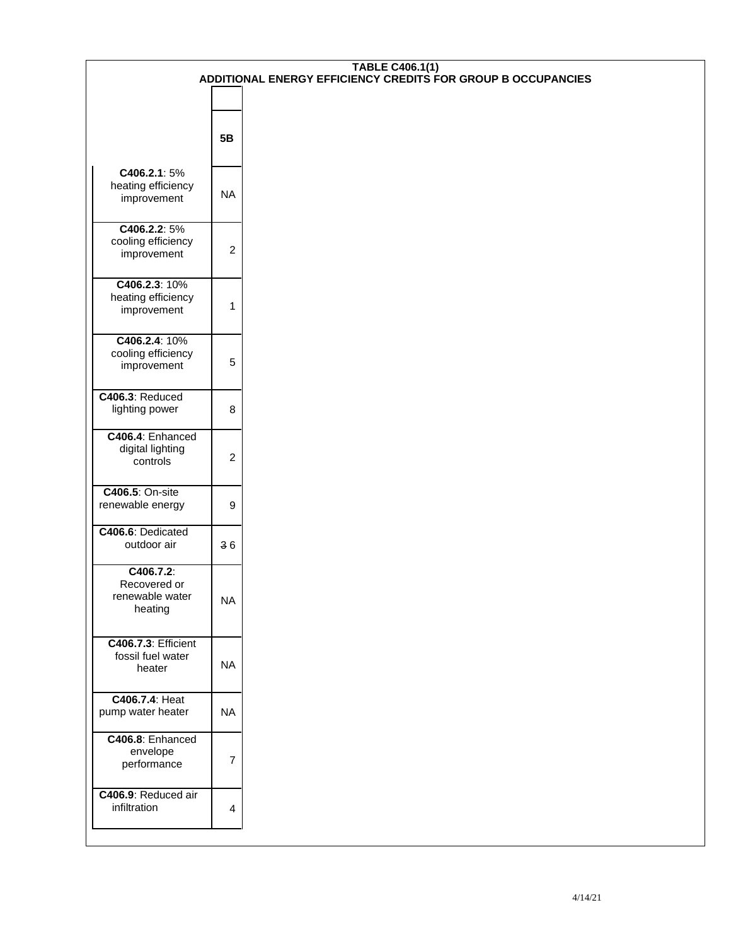| <b>TABLE C406.1(1)</b><br>ADDITIONAL ENERGY EFFICIENCY CREDITS FOR GROUP B OCCUPANCIES |                |  |
|----------------------------------------------------------------------------------------|----------------|--|
|                                                                                        |                |  |
|                                                                                        | 5 <b>B</b>     |  |
| C406.2.1:5%<br>heating efficiency<br>improvement                                       | <b>NA</b>      |  |
| C406.2.2: 5%<br>cooling efficiency<br>improvement                                      | $\overline{c}$ |  |
| C406.2.3: 10%<br>heating efficiency<br>improvement                                     | $\mathbf{1}$   |  |
| C406.2.4: 10%<br>cooling efficiency<br>improvement                                     | 5              |  |
| C406.3: Reduced<br>lighting power                                                      | 8              |  |
| C406.4: Enhanced<br>digital lighting<br>controls                                       | $\overline{c}$ |  |
| C406.5: On-site<br>renewable energy                                                    | 9              |  |
| C406.6: Dedicated<br>outdoor air                                                       | 36             |  |
| C406.7.2:<br>Recovered or<br>renewable water<br>heating                                | <b>NA</b>      |  |
| C406.7.3: Efficient<br>fossil fuel water<br>heater                                     | <b>NA</b>      |  |
| C406.7.4: Heat<br>pump water heater                                                    | <b>NA</b>      |  |
| C406.8: Enhanced<br>envelope<br>performance                                            | $\overline{7}$ |  |
| C406.9: Reduced air<br>infiltration                                                    | 4              |  |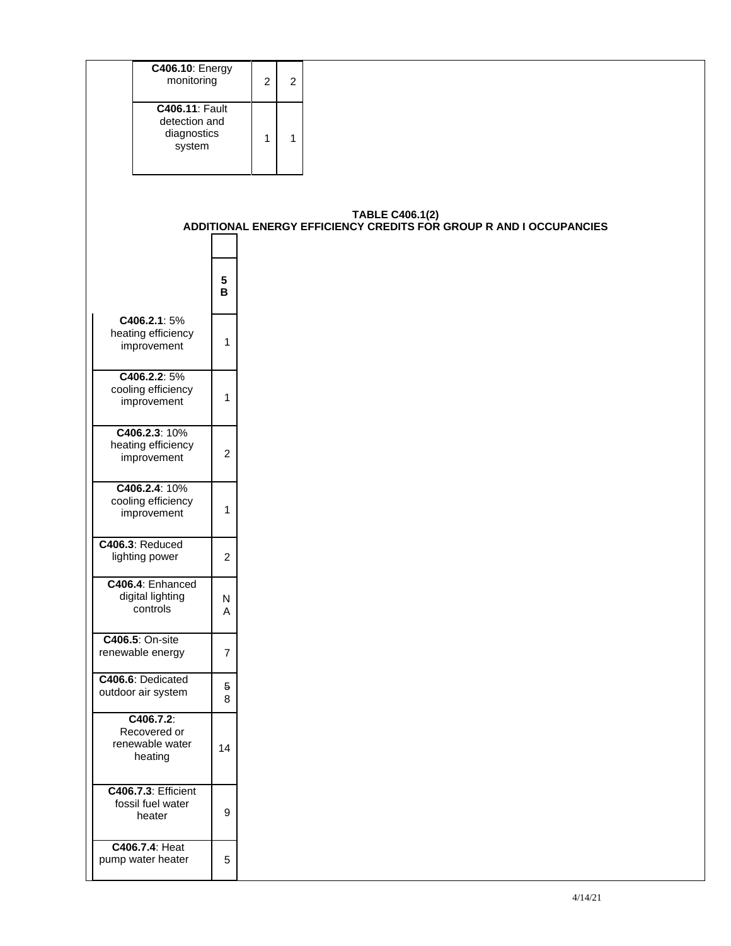| C406.10: Energy<br>monitoring                            |                           | $\overline{2}$ | $\sqrt{2}$   |                                                                                              |
|----------------------------------------------------------|---------------------------|----------------|--------------|----------------------------------------------------------------------------------------------|
| C406.11: Fault<br>detection and<br>diagnostics<br>system |                           | 1              | $\mathbf{1}$ |                                                                                              |
|                                                          |                           |                |              | <b>TABLE C406.1(2)</b><br>ADDITIONAL ENERGY EFFICIENCY CREDITS FOR GROUP R AND I OCCUPANCIES |
|                                                          | ${\bf 5}$<br>$\, {\bf B}$ |                |              |                                                                                              |
| C406.2.1:5%<br>heating efficiency<br>improvement         | $\mathbf{1}$              |                |              |                                                                                              |
| C406.2.2: 5%<br>cooling efficiency<br>improvement        | $\mathbf{1}$              |                |              |                                                                                              |
| C406.2.3: 10%<br>heating efficiency<br>improvement       | $\boldsymbol{2}$          |                |              |                                                                                              |
| C406.2.4: 10%<br>cooling efficiency<br>improvement       | $\mathbf{1}$              |                |              |                                                                                              |
| C406.3: Reduced<br>lighting power                        | $\overline{c}$            |                |              |                                                                                              |
| C406.4: Enhanced<br>digital lighting<br>controls         | ${\sf N}$<br>A            |                |              |                                                                                              |
| C406.5: On-site<br>renewable energy                      | $\overline{7}$            |                |              |                                                                                              |
| C406.6: Dedicated<br>outdoor air system                  | $\overline{5}$<br>8       |                |              |                                                                                              |
| C406.7.2:<br>Recovered or<br>renewable water<br>heating  | 14                        |                |              |                                                                                              |
| C406.7.3: Efficient<br>fossil fuel water<br>heater       | $\boldsymbol{9}$          |                |              |                                                                                              |
| C406.7.4: Heat<br>pump water heater                      | $\sqrt{5}$                |                |              |                                                                                              |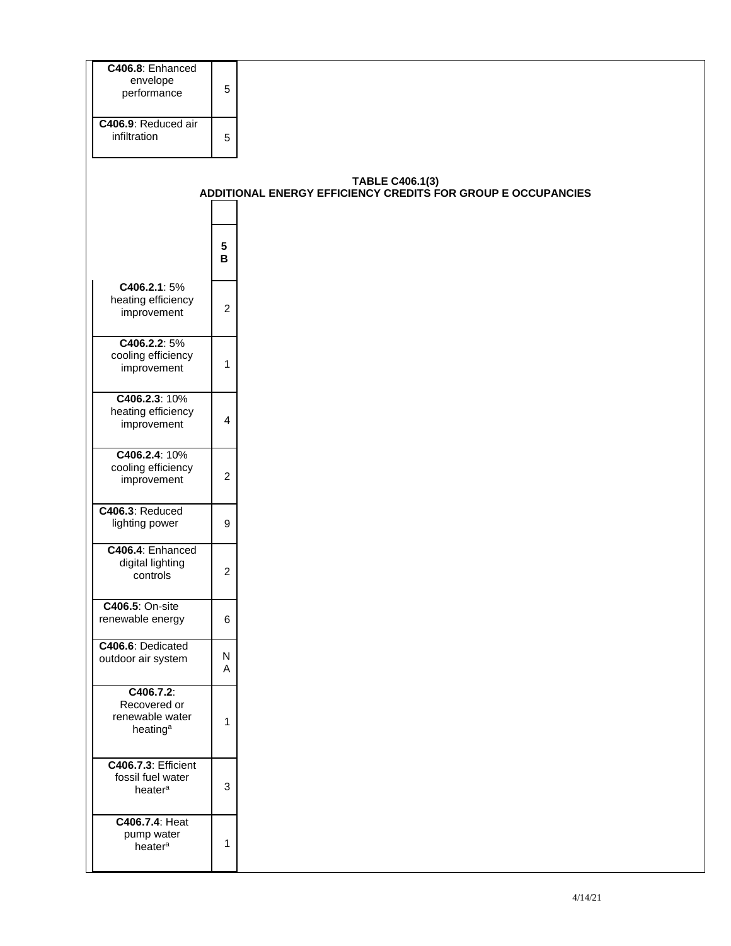| C406.8: Enhanced                        |                |                                                                                 |
|-----------------------------------------|----------------|---------------------------------------------------------------------------------|
| envelope<br>performance                 | 5              |                                                                                 |
|                                         |                |                                                                                 |
| C406.9: Reduced air                     |                |                                                                                 |
| infiltration                            | 5              |                                                                                 |
|                                         |                |                                                                                 |
|                                         |                | TABLE C406.1(3)<br>ADDITIONAL ENERGY EFFICIENCY CREDITS FOR GROUP E OCCUPANCIES |
|                                         |                |                                                                                 |
|                                         |                |                                                                                 |
|                                         | $5\phantom{a}$ |                                                                                 |
|                                         | $\, {\bf B}$   |                                                                                 |
|                                         |                |                                                                                 |
| C406.2.1:5%<br>heating efficiency       |                |                                                                                 |
| improvement                             | $\overline{c}$ |                                                                                 |
|                                         |                |                                                                                 |
| C406.2.2: 5%<br>cooling efficiency      |                |                                                                                 |
| improvement                             | 1              |                                                                                 |
|                                         |                |                                                                                 |
| C406.2.3: 10%                           |                |                                                                                 |
| heating efficiency<br>improvement       | 4              |                                                                                 |
|                                         |                |                                                                                 |
| C406.2.4: 10%                           |                |                                                                                 |
| cooling efficiency<br>improvement       | $\overline{c}$ |                                                                                 |
|                                         |                |                                                                                 |
| C406.3: Reduced                         |                |                                                                                 |
| lighting power                          | 9              |                                                                                 |
| C406.4: Enhanced                        |                |                                                                                 |
| digital lighting                        |                |                                                                                 |
| controls                                | $\overline{c}$ |                                                                                 |
|                                         |                |                                                                                 |
| C406.5: On-site<br>renewable energy     | 6              |                                                                                 |
|                                         |                |                                                                                 |
| C406.6: Dedicated                       | ${\sf N}$      |                                                                                 |
| outdoor air system                      | A              |                                                                                 |
| C406.7.2:                               |                |                                                                                 |
| Recovered or                            |                |                                                                                 |
| renewable water<br>heating <sup>a</sup> | $\mathbf{1}$   |                                                                                 |
|                                         |                |                                                                                 |
| C406.7.3: Efficient                     |                |                                                                                 |
| fossil fuel water                       |                |                                                                                 |
| heater <sup>a</sup>                     | 3              |                                                                                 |
|                                         |                |                                                                                 |
| C406.7.4: Heat<br>pump water            |                |                                                                                 |
| heater <sup>a</sup>                     | $\mathbf{1}$   |                                                                                 |
|                                         |                |                                                                                 |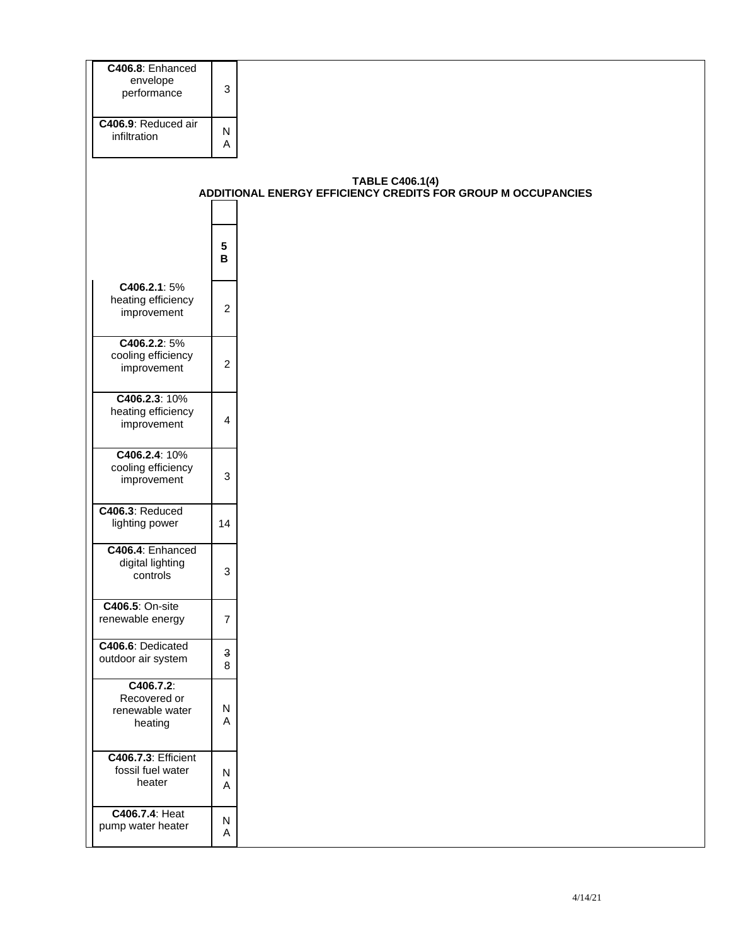| C406.8: Enhanced                    |                |                                                                                 |
|-------------------------------------|----------------|---------------------------------------------------------------------------------|
| envelope                            | 3              |                                                                                 |
| performance                         |                |                                                                                 |
|                                     |                |                                                                                 |
| C406.9: Reduced air                 | N              |                                                                                 |
| infiltration                        | A              |                                                                                 |
|                                     |                |                                                                                 |
|                                     |                |                                                                                 |
|                                     |                | TABLE C406.1(4)<br>ADDITIONAL ENERGY EFFICIENCY CREDITS FOR GROUP M OCCUPANCIES |
|                                     |                |                                                                                 |
|                                     |                |                                                                                 |
|                                     |                |                                                                                 |
|                                     | 5              |                                                                                 |
|                                     | B              |                                                                                 |
|                                     |                |                                                                                 |
| C406.2.1:5%<br>heating efficiency   |                |                                                                                 |
| improvement                         | $\overline{c}$ |                                                                                 |
|                                     |                |                                                                                 |
| C406.2.2: 5%                        |                |                                                                                 |
| cooling efficiency                  |                |                                                                                 |
| improvement                         | $\overline{c}$ |                                                                                 |
|                                     |                |                                                                                 |
| C406.2.3: 10%                       |                |                                                                                 |
| heating efficiency                  | 4              |                                                                                 |
| improvement                         |                |                                                                                 |
|                                     |                |                                                                                 |
| C406.2.4: 10%<br>cooling efficiency |                |                                                                                 |
| improvement                         | 3              |                                                                                 |
|                                     |                |                                                                                 |
| C406.3: Reduced                     |                |                                                                                 |
| lighting power                      | 14             |                                                                                 |
|                                     |                |                                                                                 |
| C406.4: Enhanced                    |                |                                                                                 |
| digital lighting<br>controls        | 3              |                                                                                 |
|                                     |                |                                                                                 |
| C406.5: On-site                     |                |                                                                                 |
| renewable energy                    | 7              |                                                                                 |
|                                     |                |                                                                                 |
| C406.6: Dedicated                   | $\mathsf 3$    |                                                                                 |
| outdoor air system                  | $\,8\,$        |                                                                                 |
| C406.7.2:                           |                |                                                                                 |
| Recovered or                        |                |                                                                                 |
| renewable water                     | N              |                                                                                 |
| heating                             | Α              |                                                                                 |
|                                     |                |                                                                                 |
| C406.7.3: Efficient                 |                |                                                                                 |
| fossil fuel water                   | N              |                                                                                 |
| heater                              | A              |                                                                                 |
|                                     |                |                                                                                 |
| C406.7.4: Heat                      | ${\sf N}$      |                                                                                 |
| pump water heater                   | Α              |                                                                                 |
|                                     |                |                                                                                 |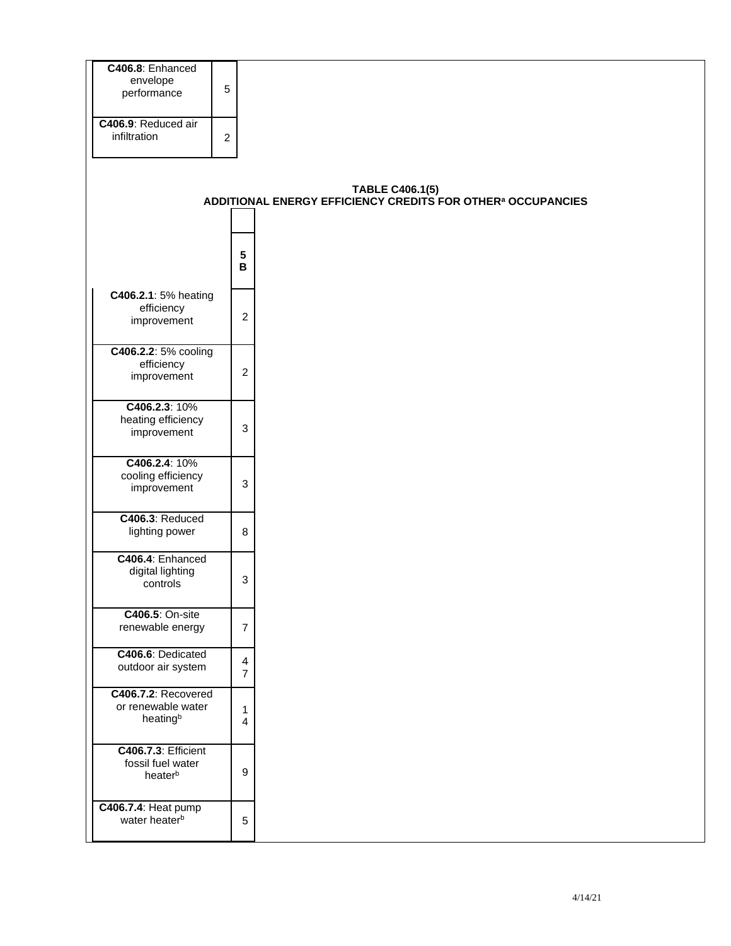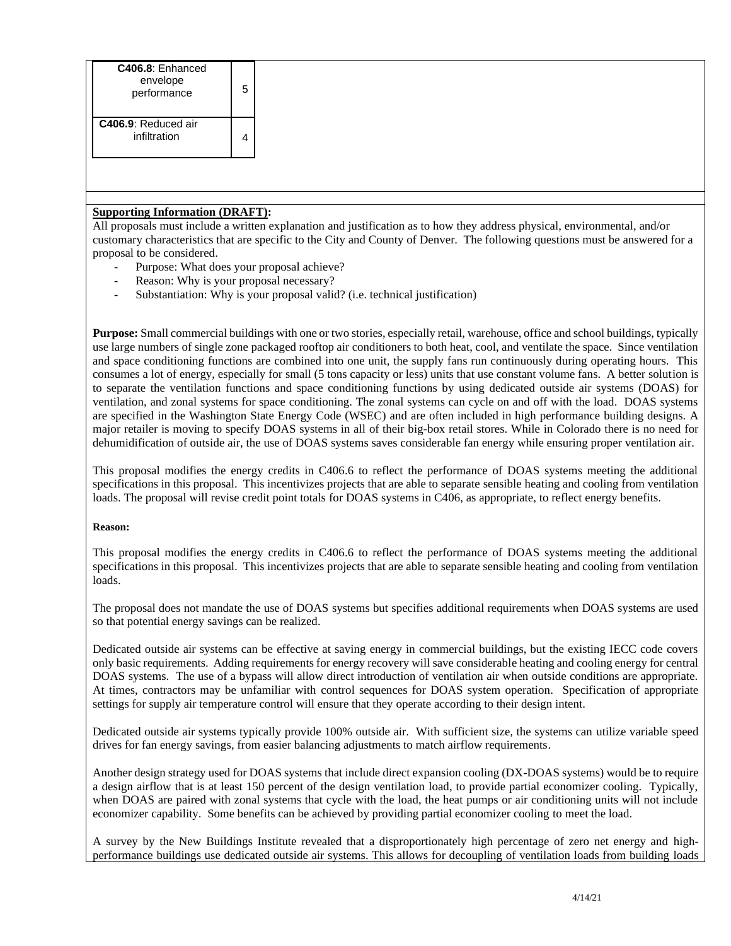### **Supporting Information (DRAFT):**

All proposals must include a written explanation and justification as to how they address physical, environmental, and/or customary characteristics that are specific to the City and County of Denver. The following questions must be answered for a proposal to be considered.

- Purpose: What does your proposal achieve?
- Reason: Why is your proposal necessary?
- Substantiation: Why is your proposal valid? (i.e. technical justification)

**Purpose:** Small commercial buildings with one or two stories, especially retail, warehouse, office and school buildings, typically use large numbers of single zone packaged rooftop air conditioners to both heat, cool, and ventilate the space. Since ventilation and space conditioning functions are combined into one unit, the supply fans run continuously during operating hours. This consumes a lot of energy, especially for small (5 tons capacity or less) units that use constant volume fans. A better solution is to separate the ventilation functions and space conditioning functions by using dedicated outside air systems (DOAS) for ventilation, and zonal systems for space conditioning. The zonal systems can cycle on and off with the load. DOAS systems are specified in the Washington State Energy Code (WSEC) and are often included in high performance building designs. A major retailer is moving to specify DOAS systems in all of their big-box retail stores. While in Colorado there is no need for dehumidification of outside air, the use of DOAS systems saves considerable fan energy while ensuring proper ventilation air.

This proposal modifies the energy credits in C406.6 to reflect the performance of DOAS systems meeting the additional specifications in this proposal. This incentivizes projects that are able to separate sensible heating and cooling from ventilation loads. The proposal will revise credit point totals for DOAS systems in C406, as appropriate, to reflect energy benefits.

#### **Reason:**

This proposal modifies the energy credits in C406.6 to reflect the performance of DOAS systems meeting the additional specifications in this proposal. This incentivizes projects that are able to separate sensible heating and cooling from ventilation loads.

The proposal does not mandate the use of DOAS systems but specifies additional requirements when DOAS systems are used so that potential energy savings can be realized.

Dedicated outside air systems can be effective at saving energy in commercial buildings, but the existing IECC code covers only basic requirements. Adding requirements for energy recovery will save considerable heating and cooling energy for central DOAS systems. The use of a bypass will allow direct introduction of ventilation air when outside conditions are appropriate. At times, contractors may be unfamiliar with control sequences for DOAS system operation. Specification of appropriate settings for supply air temperature control will ensure that they operate according to their design intent.

Dedicated outside air systems typically provide 100% outside air. With sufficient size, the systems can utilize variable speed drives for fan energy savings, from easier balancing adjustments to match airflow requirements.

Another design strategy used for DOAS systems that include direct expansion cooling (DX-DOAS systems) would be to require a design airflow that is at least 150 percent of the design ventilation load, to provide partial economizer cooling. Typically, when DOAS are paired with zonal systems that cycle with the load, the heat pumps or air conditioning units will not include economizer capability. Some benefits can be achieved by providing partial economizer cooling to meet the load.

A survey by the New Buildings Institute revealed that a disproportionately high percentage of zero net energy and highperformance buildings use dedicated outside air systems. This allows for decoupling of ventilation loads from building loads